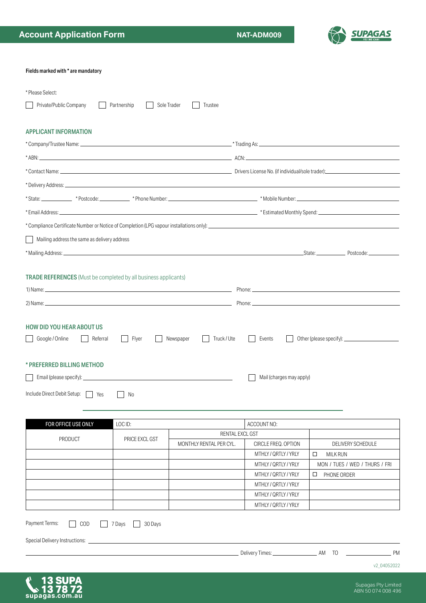13 SUPA<br>\$13 78 72<br>supagas.com.au



| Fields marked with * are mandatory                                     |                   |                          |  |                                             |                      |                                |  |  |  |  |
|------------------------------------------------------------------------|-------------------|--------------------------|--|---------------------------------------------|----------------------|--------------------------------|--|--|--|--|
| * Please Select:                                                       |                   |                          |  |                                             |                      |                                |  |  |  |  |
| Private/Public Company                                                 | Partnership       | Sole Trader<br>Trustee   |  |                                             |                      |                                |  |  |  |  |
| <b>APPLICANT INFORMATION</b>                                           |                   |                          |  |                                             |                      |                                |  |  |  |  |
|                                                                        |                   |                          |  |                                             |                      |                                |  |  |  |  |
|                                                                        |                   |                          |  |                                             |                      |                                |  |  |  |  |
|                                                                        |                   |                          |  |                                             |                      |                                |  |  |  |  |
|                                                                        |                   |                          |  |                                             |                      |                                |  |  |  |  |
|                                                                        |                   |                          |  |                                             |                      |                                |  |  |  |  |
|                                                                        |                   |                          |  |                                             |                      |                                |  |  |  |  |
|                                                                        |                   |                          |  |                                             |                      |                                |  |  |  |  |
| Mailing address the same as delivery address                           |                   |                          |  |                                             |                      |                                |  |  |  |  |
|                                                                        |                   |                          |  |                                             |                      |                                |  |  |  |  |
|                                                                        |                   |                          |  |                                             |                      |                                |  |  |  |  |
| <b>TRADE REFERENCES</b> (Must be completed by all business applicants) |                   |                          |  |                                             |                      |                                |  |  |  |  |
|                                                                        |                   |                          |  |                                             |                      |                                |  |  |  |  |
| 2) Name: $\overline{a}$                                                |                   |                          |  |                                             |                      |                                |  |  |  |  |
| Referral<br>Google / Online<br>* PREFERRED BILLING METHOD              | Flyer             | Truck / Ute<br>Newspaper |  | Events<br>Mail (charges may apply)          |                      |                                |  |  |  |  |
| Include Direct Debit Setup:<br>Yes                                     | No                |                          |  |                                             |                      |                                |  |  |  |  |
|                                                                        |                   |                          |  |                                             |                      |                                |  |  |  |  |
| FOR OFFICE USE ONLY                                                    | LOC ID:           |                          |  | ACCOUNT NO:                                 |                      |                                |  |  |  |  |
| <b>PRODUCT</b>                                                         | PRICE EXCL GST    | RENTAL EXCL GST          |  |                                             |                      |                                |  |  |  |  |
|                                                                        |                   | MONTHLY RENTAL PER CYL.  |  | CIRCLE FREQ. OPTION<br>MTHLY / QRTLY / YRLY | <b>MILK RUN</b><br>□ | DELIVERY SCHEDULE              |  |  |  |  |
|                                                                        |                   |                          |  | MTHLY / QRTLY / YRLY                        |                      | MON / TUES / WED / THURS / FRI |  |  |  |  |
|                                                                        |                   |                          |  | MTHLY / QRTLY / YRLY                        | PHONE ORDER<br>□     |                                |  |  |  |  |
|                                                                        |                   |                          |  | MTHLY / QRTLY / YRLY                        |                      |                                |  |  |  |  |
|                                                                        |                   |                          |  | MTHLY / QRTLY / YRLY                        |                      |                                |  |  |  |  |
|                                                                        |                   |                          |  | MTHLY / QRTLY / YRLY                        |                      |                                |  |  |  |  |
| Payment Terms:<br>COD                                                  | 7 Days<br>30 Days |                          |  |                                             |                      |                                |  |  |  |  |
| Special Delivery Instructions: _                                       |                   |                          |  |                                             |                      |                                |  |  |  |  |
|                                                                        |                   |                          |  |                                             |                      | <b>PM</b>                      |  |  |  |  |
|                                                                        |                   |                          |  |                                             |                      | v2_04052022                    |  |  |  |  |